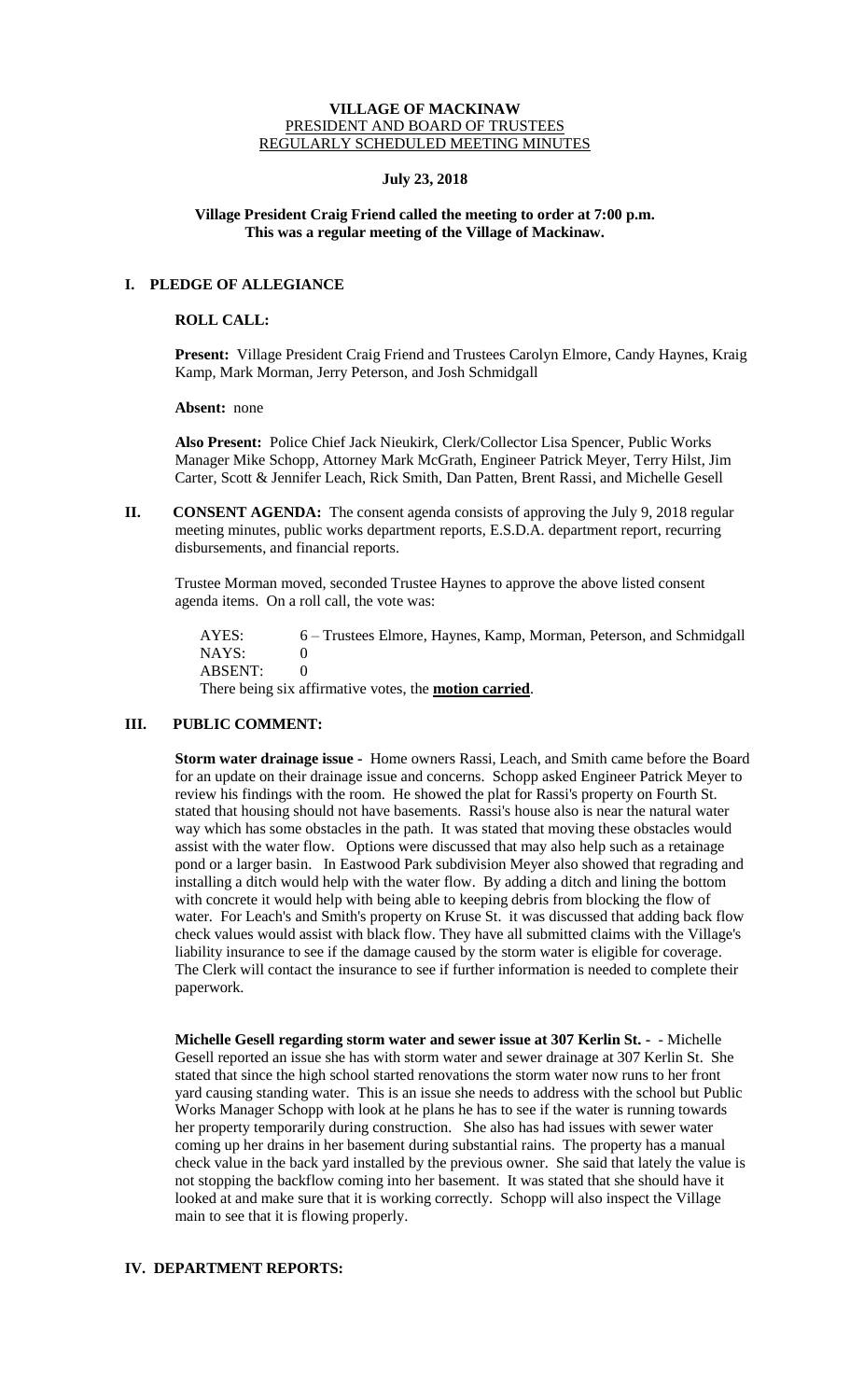#### **VILLAGE OF MACKINAW** PRESIDENT AND BOARD OF TRUSTEES REGULARLY SCHEDULED MEETING MINUTES

### **July 23, 2018**

## **Village President Craig Friend called the meeting to order at 7:00 p.m. This was a regular meeting of the Village of Mackinaw.**

# **I. PLEDGE OF ALLEGIANCE**

### **ROLL CALL:**

**Present:** Village President Craig Friend and Trustees Carolyn Elmore, Candy Haynes, Kraig Kamp, Mark Morman, Jerry Peterson, and Josh Schmidgall

**Absent:** none

**Also Present:** Police Chief Jack Nieukirk, Clerk/Collector Lisa Spencer, Public Works Manager Mike Schopp, Attorney Mark McGrath, Engineer Patrick Meyer, Terry Hilst, Jim Carter, Scott & Jennifer Leach, Rick Smith, Dan Patten, Brent Rassi, and Michelle Gesell

**II.** CONSENT AGENDA: The consent agenda consists of approving the July 9, 2018 regular meeting minutes, public works department reports, E.S.D.A. department report, recurring disbursements, and financial reports.

Trustee Morman moved, seconded Trustee Haynes to approve the above listed consent agenda items. On a roll call, the vote was:

AYES: 6 – Trustees Elmore, Haynes, Kamp, Morman, Peterson, and Schmidgall NAYS: 0 ABSENT: 0

There being six affirmative votes, the **motion carried**.

## **III. PUBLIC COMMENT:**

**Storm water drainage issue -** Home owners Rassi, Leach, and Smith came before the Board for an update on their drainage issue and concerns. Schopp asked Engineer Patrick Meyer to review his findings with the room. He showed the plat for Rassi's property on Fourth St. stated that housing should not have basements. Rassi's house also is near the natural water way which has some obstacles in the path. It was stated that moving these obstacles would assist with the water flow. Options were discussed that may also help such as a retainage pond or a larger basin. In Eastwood Park subdivision Meyer also showed that regrading and installing a ditch would help with the water flow. By adding a ditch and lining the bottom with concrete it would help with being able to keeping debris from blocking the flow of water. For Leach's and Smith's property on Kruse St. it was discussed that adding back flow check values would assist with black flow. They have all submitted claims with the Village's liability insurance to see if the damage caused by the storm water is eligible for coverage. The Clerk will contact the insurance to see if further information is needed to complete their paperwork.

**Michelle Gesell regarding storm water and sewer issue at 307 Kerlin St. -** - Michelle Gesell reported an issue she has with storm water and sewer drainage at 307 Kerlin St. She stated that since the high school started renovations the storm water now runs to her front yard causing standing water. This is an issue she needs to address with the school but Public Works Manager Schopp with look at he plans he has to see if the water is running towards her property temporarily during construction. She also has had issues with sewer water coming up her drains in her basement during substantial rains. The property has a manual check value in the back yard installed by the previous owner. She said that lately the value is not stopping the backflow coming into her basement. It was stated that she should have it looked at and make sure that it is working correctly. Schopp will also inspect the Village main to see that it is flowing properly.

## **IV. DEPARTMENT REPORTS:**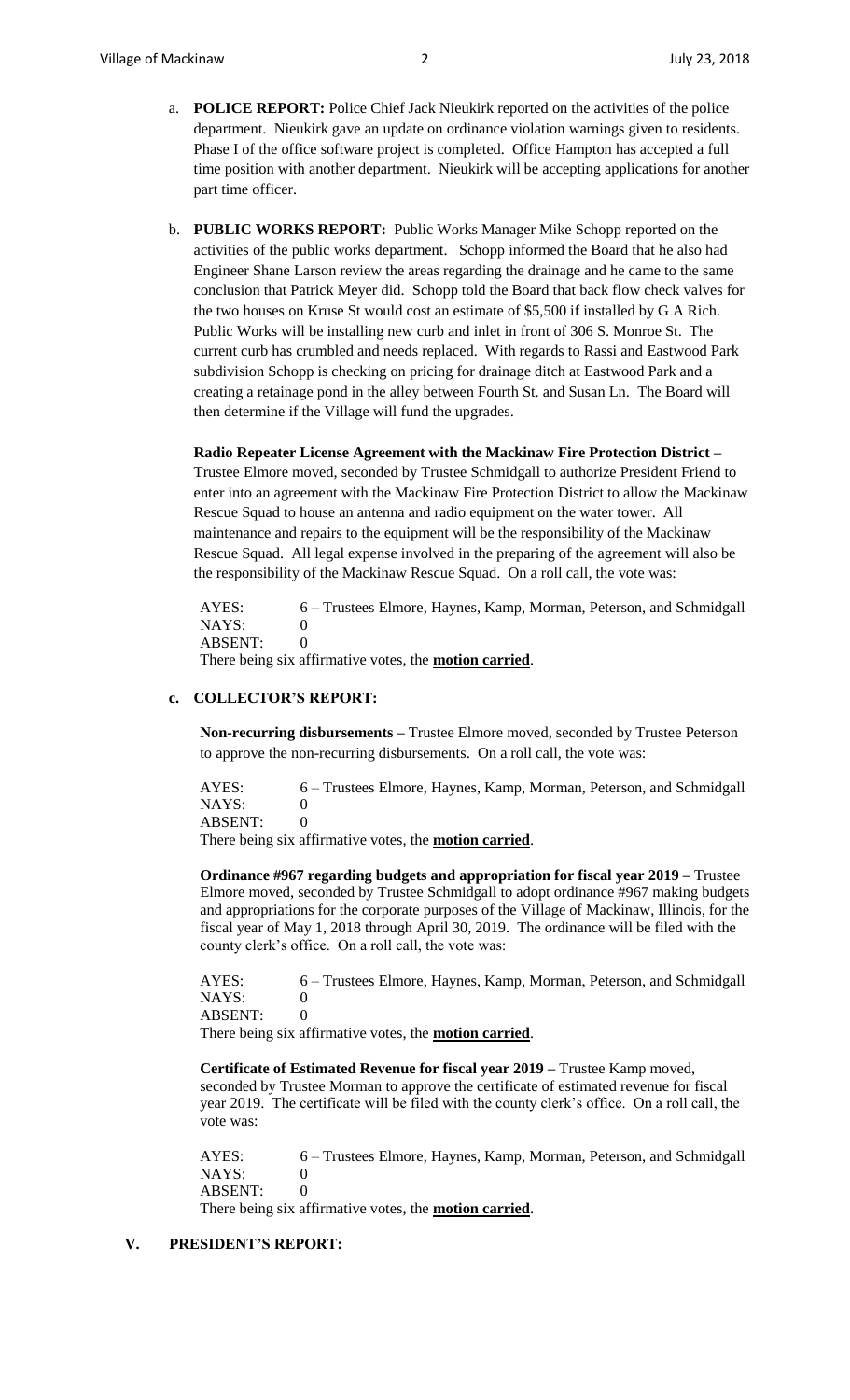- a. **POLICE REPORT:** Police Chief Jack Nieukirk reported on the activities of the police department. Nieukirk gave an update on ordinance violation warnings given to residents. Phase I of the office software project is completed. Office Hampton has accepted a full time position with another department. Nieukirk will be accepting applications for another part time officer.
- b. **PUBLIC WORKS REPORT:** Public Works Manager Mike Schopp reported on the activities of the public works department. Schopp informed the Board that he also had Engineer Shane Larson review the areas regarding the drainage and he came to the same conclusion that Patrick Meyer did. Schopp told the Board that back flow check valves for the two houses on Kruse St would cost an estimate of \$5,500 if installed by G A Rich. Public Works will be installing new curb and inlet in front of 306 S. Monroe St. The current curb has crumbled and needs replaced. With regards to Rassi and Eastwood Park subdivision Schopp is checking on pricing for drainage ditch at Eastwood Park and a creating a retainage pond in the alley between Fourth St. and Susan Ln. The Board will then determine if the Village will fund the upgrades.

**Radio Repeater License Agreement with the Mackinaw Fire Protection District –**

Trustee Elmore moved, seconded by Trustee Schmidgall to authorize President Friend to enter into an agreement with the Mackinaw Fire Protection District to allow the Mackinaw Rescue Squad to house an antenna and radio equipment on the water tower. All maintenance and repairs to the equipment will be the responsibility of the Mackinaw Rescue Squad. All legal expense involved in the preparing of the agreement will also be the responsibility of the Mackinaw Rescue Squad. On a roll call, the vote was:

AYES: 6 – Trustees Elmore, Haynes, Kamp, Morman, Peterson, and Schmidgall NAYS: 0 ABSENT: 0

There being six affirmative votes, the **motion carried**.

#### **c. COLLECTOR'S REPORT:**

**Non-recurring disbursements –** Trustee Elmore moved, seconded by Trustee Peterson to approve the non-recurring disbursements. On a roll call, the vote was:

AYES: 6 – Trustees Elmore, Haynes, Kamp, Morman, Peterson, and Schmidgall NAYS: 0 ABSENT: 0 There being six affirmative votes, the **motion carried**.

**Ordinance #967 regarding budgets and appropriation for fiscal year 2019 –** Trustee Elmore moved, seconded by Trustee Schmidgall to adopt ordinance #967 making budgets and appropriations for the corporate purposes of the Village of Mackinaw, Illinois, for the fiscal year of May 1, 2018 through April 30, 2019. The ordinance will be filed with the county clerk's office. On a roll call, the vote was:

AYES: 6 – Trustees Elmore, Haynes, Kamp, Morman, Peterson, and Schmidgall NAYS: 0 ABSENT: 0

There being six affirmative votes, the **motion carried**.

**Certificate of Estimated Revenue for fiscal year 2019 –** Trustee Kamp moved, seconded by Trustee Morman to approve the certificate of estimated revenue for fiscal year 2019. The certificate will be filed with the county clerk's office. On a roll call, the vote was:

AYES: 6 – Trustees Elmore, Haynes, Kamp, Morman, Peterson, and Schmidgall NAYS: 0 ABSENT: 0 There being six affirmative votes, the **motion carried**.

## **V. PRESIDENT'S REPORT:**